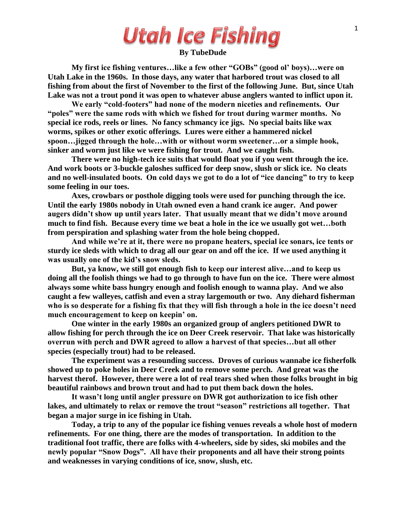# **Utah Ice Fishing**

#### **By TubeDude**

**My first ice fishing ventures…like a few other "GOBs" (good ol' boys)…were on Utah Lake in the 1960s. In those days, any water that harbored trout was closed to all fishing from about the first of November to the first of the following June. But, since Utah Lake was not a trout pond it was open to whatever abuse anglers wanted to inflict upon it.**

**We early "cold-footers" had none of the modern niceties and refinements. Our "poles" were the same rods with which we fished for trout during warmer months. No special ice rods, reels or lines. No fancy schmancy ice jigs. No special baits like wax worms, spikes or other exotic offerings. Lures were either a hammered nickel spoon…jigged through the hole…with or without worm sweetener…or a simple hook, sinker and worm just like we were fishing for trout. And we caught fish.**

**There were no high-tech ice suits that would float you if you went through the ice. And work boots or 3-buckle galoshes sufficed for deep snow, slush or slick ice. No cleats and no well-insulated boots. On cold days we got to do a lot of "ice dancing" to try to keep some feeling in our toes.**

**Axes, crowbars or posthole digging tools were used for punching through the ice. Until the early 1980s nobody in Utah owned even a hand crank ice auger. And power augers didn't show up until years later. That usually meant that we didn't move around much to find fish. Because every time we beat a hole in the ice we usually got wet…both from perspiration and splashing water from the hole being chopped.**

**And while we're at it, there were no propane heaters, special ice sonars, ice tents or sturdy ice sleds with which to drag all our gear on and off the ice. If we used anything it was usually one of the kid's snow sleds.**

**But, ya know, we still got enough fish to keep our interest alive…and to keep us doing all the foolish things we had to go through to have fun on the ice. There were almost always some white bass hungry enough and foolish enough to wanna play. And we also caught a few walleyes, catfish and even a stray largemouth or two. Any diehard fisherman who is so desperate for a fishing fix that they will fish through a hole in the ice doesn't need much encouragement to keep on keepin' on.**

**One winter in the early 1980s an organized group of anglers petitioned DWR to allow fishing for perch through the ice on Deer Creek reservoir. That lake was historically overrun with perch and DWR agreed to allow a harvest of that species…but all other species (especially trout) had to be released.** 

**The experiment was a resounding success. Droves of curious wannabe ice fisherfolk showed up to poke holes in Deer Creek and to remove some perch. And great was the harvest therof. However, there were a lot of real tears shed when those folks brought in big beautiful rainbows and brown trout and had to put them back down the holes.**

**It wasn't long until angler pressure on DWR got authorization to ice fish other lakes, and ultimately to relax or remove the trout "season" restrictions all together. That began a major surge in ice fishing in Utah.**

**Today, a trip to any of the popular ice fishing venues reveals a whole host of modern refinements. For one thing, there are the modes of transportation. In addition to the traditional foot traffic, there are folks with 4-wheelers, side by sides, ski mobiles and the newly popular "Snow Dogs". All have their proponents and all have their strong points and weaknesses in varying conditions of ice, snow, slush, etc.**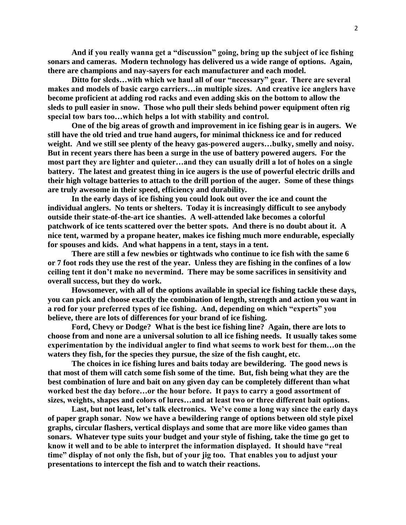**And if you really wanna get a "discussion" going, bring up the subject of ice fishing sonars and cameras. Modern technology has delivered us a wide range of options. Again, there are champions and nay-sayers for each manufacturer and each model.** 

**Ditto for sleds…with which we haul all of our "necessary" gear. There are several makes and models of basic cargo carriers…in multiple sizes. And creative ice anglers have become proficient at adding rod racks and even adding skis on the bottom to allow the sleds to pull easier in snow. Those who pull their sleds behind power equipment often rig special tow bars too…which helps a lot with stability and control.**

**One of the big areas of growth and improvement in ice fishing gear is in augers. We still have the old tried and true hand augers, for minimal thickness ice and for reduced weight. And we still see plenty of the heavy gas-powered augers…bulky, smelly and noisy. But in recent years there has been a surge in the use of battery powered augers. For the most part they are lighter and quieter…and they can usually drill a lot of holes on a single battery. The latest and greatest thing in ice augers is the use of powerful electric drills and their high voltage batteries to attach to the drill portion of the auger. Some of these things are truly awesome in their speed, efficiency and durability.**

**In the early days of ice fishing you could look out over the ice and count the individual anglers. No tents or shelters. Today it is increasingly difficult to see anybody outside their state-of-the-art ice shanties. A well-attended lake becomes a colorful patchwork of ice tents scattered over the better spots. And there is no doubt about it. A nice tent, warmed by a propane heater, makes ice fishing much more endurable, especially for spouses and kids. And what happens in a tent, stays in a tent.**

**There are still a few newbies or tightwads who continue to ice fish with the same 6 or 7 foot rods they use the rest of the year. Unless they are fishing in the confines of a low ceiling tent it don't make no nevermind. There may be some sacrifices in sensitivity and overall success, but they do work.**

**Howsomever, with all of the options available in special ice fishing tackle these days, you can pick and choose exactly the combination of length, strength and action you want in a rod for your preferred types of ice fishing. And, depending on which "experts" you believe, there are lots of differences for your brand of ice fishing.**

**Ford, Chevy or Dodge? What is the best ice fishing line? Again, there are lots to choose from and none are a universal solution to all ice fishing needs. It usually takes some experimentation by the individual angler to find what seems to work best for them…on the waters they fish, for the species they pursue, the size of the fish caught, etc.**

**The choices in ice fishing lures and baits today are bewildering. The good news is that most of them will catch some fish some of the time. But, fish being what they are the best combination of lure and bait on any given day can be completely different than what worked best the day before…or the hour before. It pays to carry a good assortment of sizes, weights, shapes and colors of lures…and at least two or three different bait options.**

**Last, but not least, let's talk electronics. We've come a long way since the early days of paper graph sonar. Now we have a bewildering range of options between old style pixel graphs, circular flashers, vertical displays and some that are more like video games than sonars. Whatever type suits your budget and your style of fishing, take the time go get to know it well and to be able to interpret the information displayed. It should have "real time" display of not only the fish, but of your jig too. That enables you to adjust your presentations to intercept the fish and to watch their reactions.**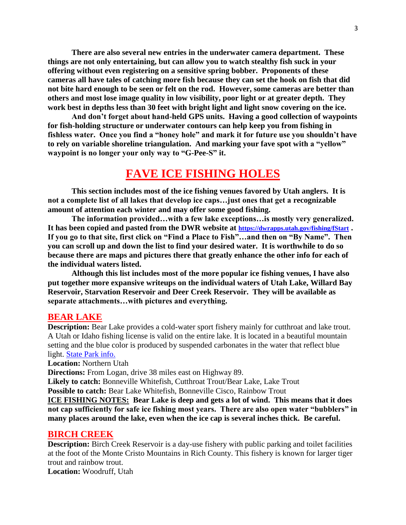**There are also several new entries in the underwater camera department. These things are not only entertaining, but can allow you to watch stealthy fish suck in your offering without even registering on a sensitive spring bobber. Proponents of these cameras all have tales of catching more fish because they can set the hook on fish that did not bite hard enough to be seen or felt on the rod. However, some cameras are better than others and most lose image quality in low visibility, poor light or at greater depth. They work best in depths less than 30 feet with bright light and light snow covering on the ice.**

**And don't forget about hand-held GPS units. Having a good collection of waypoints for fish-holding structure or underwater contours can help keep you from fishing in fishless water. Once you find a "honey hole" and mark it for future use you shouldn't have to rely on variable shoreline triangulation. And marking your fave spot with a "yellow" waypoint is no longer your only way to "G-Pee-S" it.**

# **FAVE ICE FISHING HOLES**

**This section includes most of the ice fishing venues favored by Utah anglers. It is not a complete list of all lakes that develop ice caps…just ones that get a recognizable amount of attention each winter and may offer some good fishing.**

**The information provided…with a few lake exceptions…is mostly very generalized. It has been copied and pasted from the DWR website at <https://dwrapps.utah.gov/fishing/fStart> . If you go to that site, first click on "Find a Place to Fish"…and then on "By Name". Then you can scroll up and down the list to find your desired water. It is worthwhile to do so because there are maps and pictures there that greatly enhance the other info for each of the individual waters listed.**

**Although this list includes most of the more popular ice fishing venues, I have also put together more expansive writeups on the individual waters of Utah Lake, Willard Bay Reservoir, Starvation Reservoir and Deer Creek Reservoir. They will be available as separate attachments…with pictures and everything.**

#### **BEAR LAKE**

**Description:** Bear Lake provides a cold-water sport fishery mainly for cutthroat and lake trout. A Utah or Idaho fishing license is valid on the entire lake. It is located in a beautiful mountain setting and the blue color is produced by suspended carbonates in the water that reflect blue light. [State Park info.](https://stateparks.utah.gov/parks/bear-lake/)

**Location:** Northern Utah

**Directions:** From Logan, drive 38 miles east on Highway 89.

**Likely to catch:** Bonneville Whitefish, Cutthroat Trout/Bear Lake, Lake Trout

**Possible to catch:** Bear Lake Whitefish, Bonneville Cisco, Rainbow Trout

**ICE FISHING NOTES: Bear Lake is deep and gets a lot of wind. This means that it does not cap sufficiently for safe ice fishing most years. There are also open water "bubblers" in many places around the lake, even when the ice cap is several inches thick. Be careful.**

#### **BIRCH CREEK**

**Description:** Birch Creek Reservoir is a day-use fishery with public parking and toilet facilities at the foot of the Monte Cristo Mountains in Rich County. This fishery is known for larger tiger trout and rainbow trout.

**Location:** Woodruff, Utah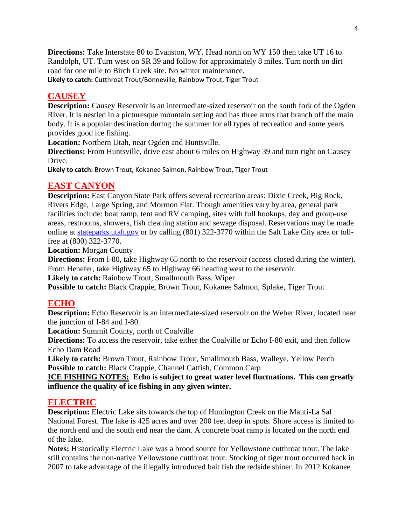**Directions:** Take Interstate 80 to Evanston, WY. Head north on WY 150 then take UT 16 to Randolph, UT. Turn west on SR 39 and follow for approximately 8 miles. Turn north on dirt road for one mile to Birch Creek site. No winter maintenance.

**Likely to catch:** Cutthroat Trout/Bonneville, Rainbow Trout, Tiger Trout

# **CAUSEY**

**Description:** Causey Reservoir is an intermediate-sized reservoir on the south fork of the Ogden River. It is nestled in a picturesque mountain setting and has three arms that branch off the main body. It is a popular destination during the summer for all types of recreation and some years provides good ice fishing.

**Location:** Northern Utah, near Ogden and Huntsville.

**Directions:** From Huntsville, drive east about 6 miles on Highway 39 and turn right on Causey Drive.

**Likely to catch:** Brown Trout, Kokanee Salmon, Rainbow Trout, Tiger Trout

## **EAST CANYON**

**Description:** East Canyon State Park offers several recreation areas: Dixie Creek, Big Rock, Rivers Edge, Large Spring, and Mormon Flat. Though amenities vary by area, general park facilities include: boat ramp, tent and RV camping, sites with full hookups, day and group-use areas, restrooms, showers, fish cleaning station and sewage disposal. Reservations may be made online at [stateparks.utah.gov](http://stateparks.utah.gov/) or by calling (801) 322-3770 within the Salt Lake City area or tollfree at (800) 322-3770.

**Location:** Morgan County

**Directions:** From I-80, take Highway 65 north to the reservoir (access closed during the winter). From Henefer, take Highway 65 to Highway 66 heading west to the reservoir.

**Likely to catch:** Rainbow Trout, Smallmouth Bass, Wiper

**Possible to catch:** Black Crappie, Brown Trout, Kokanee Salmon, Splake, Tiger Trout

# **ECHO**

**Description:** Echo Reservoir is an intermediate-sized reservoir on the Weber River, located near the junction of I-84 and I-80.

**Location:** Summit County, north of Coalville

**Directions:** To access the reservoir, take either the Coalville or Echo I-80 exit, and then follow Echo Dam Road

**Likely to catch:** Brown Trout, Rainbow Trout, Smallmouth Bass, Walleye, Yellow Perch **Possible to catch:** Black Crappie, Channel Catfish, Common Carp

**ICE FISHING NOTES: Echo is subject to great water level fluctuations. This can greatly influence the quality of ice fishing in any given winter.**

# **ELECTRIC**

**Description:** Electric Lake sits towards the top of Huntington Creek on the Manti-La Sal National Forest. The lake is 425 acres and over 200 feet deep in spots. Shore access is limited to the north end and the south end near the dam. A concrete boat ramp is located on the north end of the lake.

**Notes:** Historically Electric Lake was a brood source for Yellowstone cutthroat trout. The lake still contains the non-native Yellowstone cutthroat trout. Stocking of tiger trout occurred back in 2007 to take advantage of the illegally introduced bait fish the redside shiner. In 2012 Kokanee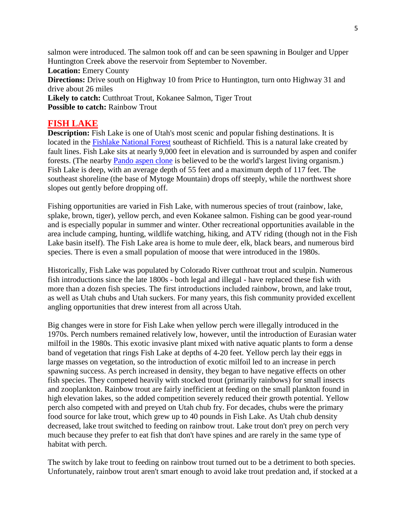salmon were introduced. The salmon took off and can be seen spawning in Boulger and Upper Huntington Creek above the reservoir from September to November. **Location:** Emery County

**Directions:** Drive south on Highway 10 from Price to Huntington, turn onto Highway 31 and drive about 26 miles

**Likely to catch:** Cutthroat Trout, Kokanee Salmon, Tiger Trout **Possible to catch: Rainbow Trout** 

## **FISH LAKE**

**Description:** Fish Lake is one of Utah's most scenic and popular fishing destinations. It is located in the [Fishlake National Forest](https://www.fs.usda.gov/fishlake) southeast of Richfield. This is a natural lake created by fault lines. Fish Lake sits at nearly 9,000 feet in elevation and is surrounded by aspen and conifer forests. (The nearby [Pando aspen clone](https://www.fs.usda.gov/detail/fishlake/home/?cid=STELPRDB5393641) is believed to be the world's largest living organism.) Fish Lake is deep, with an average depth of 55 feet and a maximum depth of 117 feet. The southeast shoreline (the base of Mytoge Mountain) drops off steeply, while the northwest shore slopes out gently before dropping off.

Fishing opportunities are varied in Fish Lake, with numerous species of trout (rainbow, lake, splake, brown, tiger), yellow perch, and even Kokanee salmon. Fishing can be good year-round and is especially popular in summer and winter. Other recreational opportunities available in the area include camping, hunting, wildlife watching, hiking, and ATV riding (though not in the Fish Lake basin itself). The Fish Lake area is home to mule deer, elk, black bears, and numerous bird species. There is even a small population of moose that were introduced in the 1980s.

Historically, Fish Lake was populated by Colorado River cutthroat trout and sculpin. Numerous fish introductions since the late 1800s - both legal and illegal - have replaced these fish with more than a dozen fish species. The first introductions included rainbow, brown, and lake trout, as well as Utah chubs and Utah suckers. For many years, this fish community provided excellent angling opportunities that drew interest from all across Utah.

Big changes were in store for Fish Lake when yellow perch were illegally introduced in the 1970s. Perch numbers remained relatively low, however, until the introduction of Eurasian water milfoil in the 1980s. This exotic invasive plant mixed with native aquatic plants to form a dense band of vegetation that rings Fish Lake at depths of 4-20 feet. Yellow perch lay their eggs in large masses on vegetation, so the introduction of exotic milfoil led to an increase in perch spawning success. As perch increased in density, they began to have negative effects on other fish species. They competed heavily with stocked trout (primarily rainbows) for small insects and zooplankton. Rainbow trout are fairly inefficient at feeding on the small plankton found in high elevation lakes, so the added competition severely reduced their growth potential. Yellow perch also competed with and preyed on Utah chub fry. For decades, chubs were the primary food source for lake trout, which grew up to 40 pounds in Fish Lake. As Utah chub density decreased, lake trout switched to feeding on rainbow trout. Lake trout don't prey on perch very much because they prefer to eat fish that don't have spines and are rarely in the same type of habitat with perch.

The switch by lake trout to feeding on rainbow trout turned out to be a detriment to both species. Unfortunately, rainbow trout aren't smart enough to avoid lake trout predation and, if stocked at a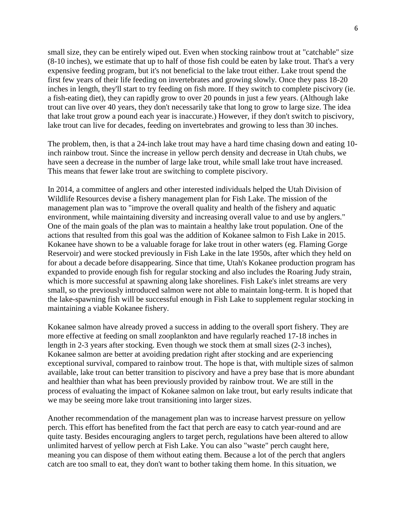small size, they can be entirely wiped out. Even when stocking rainbow trout at "catchable" size (8-10 inches), we estimate that up to half of those fish could be eaten by lake trout. That's a very expensive feeding program, but it's not beneficial to the lake trout either. Lake trout spend the first few years of their life feeding on invertebrates and growing slowly. Once they pass 18-20 inches in length, they'll start to try feeding on fish more. If they switch to complete piscivory (ie. a fish-eating diet), they can rapidly grow to over 20 pounds in just a few years. (Although lake trout can live over 40 years, they don't necessarily take that long to grow to large size. The idea that lake trout grow a pound each year is inaccurate.) However, if they don't switch to piscivory, lake trout can live for decades, feeding on invertebrates and growing to less than 30 inches.

The problem, then, is that a 24-inch lake trout may have a hard time chasing down and eating 10 inch rainbow trout. Since the increase in yellow perch density and decrease in Utah chubs, we have seen a decrease in the number of large lake trout, while small lake trout have increased. This means that fewer lake trout are switching to complete piscivory.

In 2014, a committee of anglers and other interested individuals helped the Utah Division of Wildlife Resources devise a fishery management plan for Fish Lake. The mission of the management plan was to "improve the overall quality and health of the fishery and aquatic environment, while maintaining diversity and increasing overall value to and use by anglers." One of the main goals of the plan was to maintain a healthy lake trout population. One of the actions that resulted from this goal was the addition of Kokanee salmon to Fish Lake in 2015. Kokanee have shown to be a valuable forage for lake trout in other waters (eg. Flaming Gorge Reservoir) and were stocked previously in Fish Lake in the late 1950s, after which they held on for about a decade before disappearing. Since that time, Utah's Kokanee production program has expanded to provide enough fish for regular stocking and also includes the Roaring Judy strain, which is more successful at spawning along lake shorelines. Fish Lake's inlet streams are very small, so the previously introduced salmon were not able to maintain long-term. It is hoped that the lake-spawning fish will be successful enough in Fish Lake to supplement regular stocking in maintaining a viable Kokanee fishery.

Kokanee salmon have already proved a success in adding to the overall sport fishery. They are more effective at feeding on small zooplankton and have regularly reached 17-18 inches in length in 2-3 years after stocking. Even though we stock them at small sizes (2-3 inches), Kokanee salmon are better at avoiding predation right after stocking and are experiencing exceptional survival, compared to rainbow trout. The hope is that, with multiple sizes of salmon available, lake trout can better transition to piscivory and have a prey base that is more abundant and healthier than what has been previously provided by rainbow trout. We are still in the process of evaluating the impact of Kokanee salmon on lake trout, but early results indicate that we may be seeing more lake trout transitioning into larger sizes.

Another recommendation of the management plan was to increase harvest pressure on yellow perch. This effort has benefited from the fact that perch are easy to catch year-round and are quite tasty. Besides encouraging anglers to target perch, regulations have been altered to allow unlimited harvest of yellow perch at Fish Lake. You can also "waste" perch caught here, meaning you can dispose of them without eating them. Because a lot of the perch that anglers catch are too small to eat, they don't want to bother taking them home. In this situation, we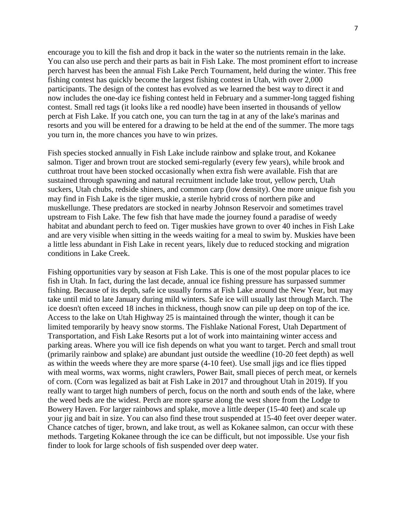encourage you to kill the fish and drop it back in the water so the nutrients remain in the lake. You can also use perch and their parts as bait in Fish Lake. The most prominent effort to increase perch harvest has been the annual Fish Lake Perch Tournament, held during the winter. This free fishing contest has quickly become the largest fishing contest in Utah, with over 2,000 participants. The design of the contest has evolved as we learned the best way to direct it and now includes the one-day ice fishing contest held in February and a summer-long tagged fishing contest. Small red tags (it looks like a red noodle) have been inserted in thousands of yellow perch at Fish Lake. If you catch one, you can turn the tag in at any of the lake's marinas and resorts and you will be entered for a drawing to be held at the end of the summer. The more tags you turn in, the more chances you have to win prizes.

Fish species stocked annually in Fish Lake include rainbow and splake trout, and Kokanee salmon. Tiger and brown trout are stocked semi-regularly (every few years), while brook and cutthroat trout have been stocked occasionally when extra fish were available. Fish that are sustained through spawning and natural recruitment include lake trout, yellow perch, Utah suckers, Utah chubs, redside shiners, and common carp (low density). One more unique fish you may find in Fish Lake is the tiger muskie, a sterile hybrid cross of northern pike and muskellunge. These predators are stocked in nearby Johnson Reservoir and sometimes travel upstream to Fish Lake. The few fish that have made the journey found a paradise of weedy habitat and abundant perch to feed on. Tiger muskies have grown to over 40 inches in Fish Lake and are very visible when sitting in the weeds waiting for a meal to swim by. Muskies have been a little less abundant in Fish Lake in recent years, likely due to reduced stocking and migration conditions in Lake Creek.

Fishing opportunities vary by season at Fish Lake. This is one of the most popular places to ice fish in Utah. In fact, during the last decade, annual ice fishing pressure has surpassed summer fishing. Because of its depth, safe ice usually forms at Fish Lake around the New Year, but may take until mid to late January during mild winters. Safe ice will usually last through March. The ice doesn't often exceed 18 inches in thickness, though snow can pile up deep on top of the ice. Access to the lake on Utah Highway 25 is maintained through the winter, though it can be limited temporarily by heavy snow storms. The Fishlake National Forest, Utah Department of Transportation, and Fish Lake Resorts put a lot of work into maintaining winter access and parking areas. Where you will ice fish depends on what you want to target. Perch and small trout (primarily rainbow and splake) are abundant just outside the weedline (10-20 feet depth) as well as within the weeds where they are more sparse (4-10 feet). Use small jigs and ice flies tipped with meal worms, wax worms, night crawlers, Power Bait, small pieces of perch meat, or kernels of corn. (Corn was legalized as bait at Fish Lake in 2017 and throughout Utah in 2019). If you really want to target high numbers of perch, focus on the north and south ends of the lake, where the weed beds are the widest. Perch are more sparse along the west shore from the Lodge to Bowery Haven. For larger rainbows and splake, move a little deeper (15-40 feet) and scale up your jig and bait in size. You can also find these trout suspended at 15-40 feet over deeper water. Chance catches of tiger, brown, and lake trout, as well as Kokanee salmon, can occur with these methods. Targeting Kokanee through the ice can be difficult, but not impossible. Use your fish finder to look for large schools of fish suspended over deep water.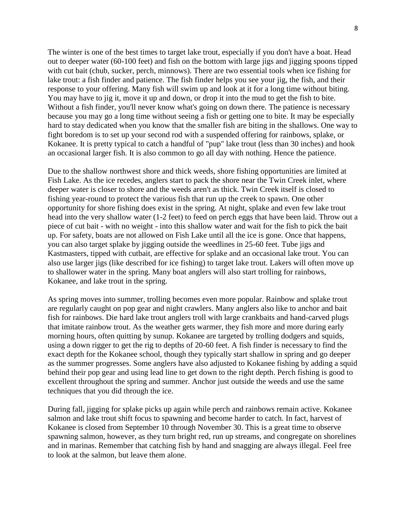The winter is one of the best times to target lake trout, especially if you don't have a boat. Head out to deeper water (60-100 feet) and fish on the bottom with large jigs and jigging spoons tipped with cut bait (chub, sucker, perch, minnows). There are two essential tools when ice fishing for lake trout: a fish finder and patience. The fish finder helps you see your jig, the fish, and their response to your offering. Many fish will swim up and look at it for a long time without biting. You may have to jig it, move it up and down, or drop it into the mud to get the fish to bite. Without a fish finder, you'll never know what's going on down there. The patience is necessary because you may go a long time without seeing a fish or getting one to bite. It may be especially hard to stay dedicated when you know that the smaller fish are biting in the shallows. One way to fight boredom is to set up your second rod with a suspended offering for rainbows, splake, or Kokanee. It is pretty typical to catch a handful of "pup" lake trout (less than 30 inches) and hook an occasional larger fish. It is also common to go all day with nothing. Hence the patience.

Due to the shallow northwest shore and thick weeds, shore fishing opportunities are limited at Fish Lake. As the ice recedes, anglers start to pack the shore near the Twin Creek inlet, where deeper water is closer to shore and the weeds aren't as thick. Twin Creek itself is closed to fishing year-round to protect the various fish that run up the creek to spawn. One other opportunity for shore fishing does exist in the spring. At night, splake and even few lake trout head into the very shallow water (1-2 feet) to feed on perch eggs that have been laid. Throw out a piece of cut bait - with no weight - into this shallow water and wait for the fish to pick the bait up. For safety, boats are not allowed on Fish Lake until all the ice is gone. Once that happens, you can also target splake by jigging outside the weedlines in 25-60 feet. Tube jigs and Kastmasters, tipped with cutbait, are effective for splake and an occasional lake trout. You can also use larger jigs (like described for ice fishing) to target lake trout. Lakers will often move up to shallower water in the spring. Many boat anglers will also start trolling for rainbows, Kokanee, and lake trout in the spring.

As spring moves into summer, trolling becomes even more popular. Rainbow and splake trout are regularly caught on pop gear and night crawlers. Many anglers also like to anchor and bait fish for rainbows. Die hard lake trout anglers troll with large crankbaits and hand-carved plugs that imitate rainbow trout. As the weather gets warmer, they fish more and more during early morning hours, often quitting by sunup. Kokanee are targeted by trolling dodgers and squids, using a down rigger to get the rig to depths of 20-60 feet. A fish finder is necessary to find the exact depth for the Kokanee school, though they typically start shallow in spring and go deeper as the summer progresses. Some anglers have also adjusted to Kokanee fishing by adding a squid behind their pop gear and using lead line to get down to the right depth. Perch fishing is good to excellent throughout the spring and summer. Anchor just outside the weeds and use the same techniques that you did through the ice.

During fall, jigging for splake picks up again while perch and rainbows remain active. Kokanee salmon and lake trout shift focus to spawning and become harder to catch. In fact, harvest of Kokanee is closed from September 10 through November 30. This is a great time to observe spawning salmon, however, as they turn bright red, run up streams, and congregate on shorelines and in marinas. Remember that catching fish by hand and snagging are always illegal. Feel free to look at the salmon, but leave them alone.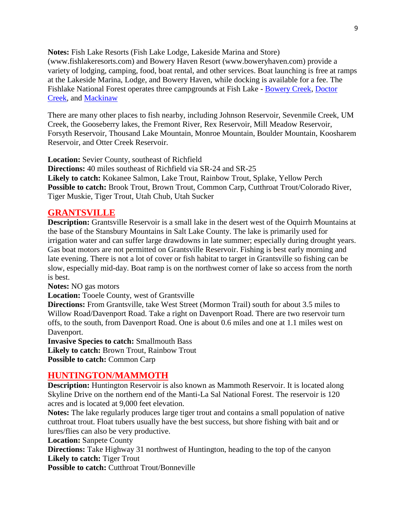**Notes:** Fish Lake Resorts (Fish Lake Lodge, Lakeside Marina and Store) (www.fishlakeresorts.com) and Bowery Haven Resort (www.boweryhaven.com) provide a variety of lodging, camping, food, boat rental, and other services. Boat launching is free at ramps at the Lakeside Marina, Lodge, and Bowery Haven, while docking is available for a fee. The Fishlake National Forest operates three campgrounds at Fish Lake - [Bowery Creek,](https://www.fs.usda.gov/recarea/fishlake/recreation/camping-cabins/recarea/?recid=12129&actid=29) [Doctor](https://www.fs.usda.gov/recarea/fishlake/recreation/camping-cabins/recarea/?recid=12145&actid=29)  [Creek,](https://www.fs.usda.gov/recarea/fishlake/recreation/camping-cabins/recarea/?recid=12145&actid=29) and [Mackinaw](https://www.fs.usda.gov/recarea/fishlake/recreation/camping-cabins/recarea/?recid=12201&actid=29)

There are many other places to fish nearby, including Johnson Reservoir, Sevenmile Creek, UM Creek, the Gooseberry lakes, the Fremont River, Rex Reservoir, Mill Meadow Reservoir, Forsyth Reservoir, Thousand Lake Mountain, Monroe Mountain, Boulder Mountain, Koosharem Reservoir, and Otter Creek Reservoir.

**Location:** Sevier County, southeast of Richfield

**Directions:** 40 miles southeast of Richfield via SR-24 and SR-25 **Likely to catch:** Kokanee Salmon, Lake Trout, Rainbow Trout, Splake, Yellow Perch Possible to catch: Brook Trout, Brown Trout, Common Carp, Cutthroat Trout/Colorado River, Tiger Muskie, Tiger Trout, Utah Chub, Utah Sucker

#### **GRANTSVILLE**

**Description:** Grantsville Reservoir is a small lake in the desert west of the Oquirrh Mountains at the base of the Stansbury Mountains in Salt Lake County. The lake is primarily used for irrigation water and can suffer large drawdowns in late summer; especially during drought years. Gas boat motors are not permitted on Grantsville Reservoir. Fishing is best early morning and late evening. There is not a lot of cover or fish habitat to target in Grantsville so fishing can be slow, especially mid-day. Boat ramp is on the northwest corner of lake so access from the north is best.

**Notes:** NO gas motors

**Location:** Tooele County, west of Grantsville

**Directions:** From Grantsville, take West Street (Mormon Trail) south for about 3.5 miles to Willow Road/Davenport Road. Take a right on Davenport Road. There are two reservoir turn offs, to the south, from Davenport Road. One is about 0.6 miles and one at 1.1 miles west on Davenport.

**Invasive Species to catch:** Smallmouth Bass **Likely to catch:** Brown Trout, Rainbow Trout **Possible to catch:** Common Carp

#### **HUNTINGTON/MAMMOTH**

**Description:** Huntington Reservoir is also known as Mammoth Reservoir. It is located along Skyline Drive on the northern end of the Manti-La Sal National Forest. The reservoir is 120 acres and is located at 9,000 feet elevation.

**Notes:** The lake regularly produces large tiger trout and contains a small population of native cutthroat trout. Float tubers usually have the best success, but shore fishing with bait and or lures/flies can also be very productive.

**Location:** Sanpete County

**Directions:** Take Highway 31 northwest of Huntington, heading to the top of the canyon Likely to catch: Tiger Trout

**Possible to catch:** Cutthroat Trout/Bonneville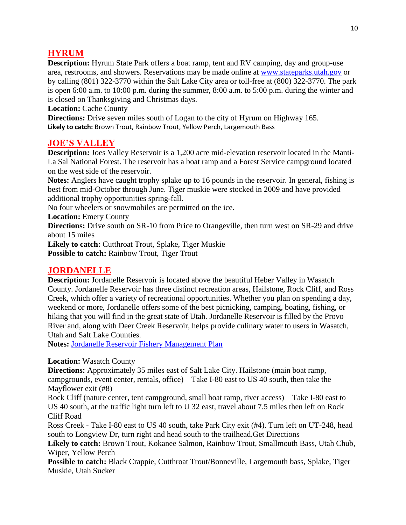## **HYRUM**

**Description:** Hyrum State Park offers a boat ramp, tent and RV camping, day and group-use area, restrooms, and showers. Reservations may be made online at [www.stateparks.utah.gov](http://www.stateparks.utah.gov/) or by calling (801) 322-3770 within the Salt Lake City area or toll-free at (800) 322-3770. The park is open 6:00 a.m. to 10:00 p.m. during the summer, 8:00 a.m. to 5:00 p.m. during the winter and is closed on Thanksgiving and Christmas days.

**Location:** Cache County

**Directions:** Drive seven miles south of Logan to the city of Hyrum on Highway 165. **Likely to catch:** Brown Trout, Rainbow Trout, Yellow Perch, Largemouth Bass

#### **JOE'S VALLEY**

**Description:** Joes Valley Reservoir is a 1,200 acre mid-elevation reservoir located in the Manti-La Sal National Forest. The reservoir has a boat ramp and a Forest Service campground located on the west side of the reservoir.

**Notes:** Anglers have caught trophy splake up to 16 pounds in the reservoir. In general, fishing is best from mid-October through June. Tiger muskie were stocked in 2009 and have provided additional trophy opportunities spring-fall.

No four wheelers or snowmobiles are permitted on the ice.

**Location:** Emery County

**Directions:** Drive south on SR-10 from Price to Orangeville, then turn west on SR-29 and drive about 15 miles

**Likely to catch:** Cutthroat Trout, Splake, Tiger Muskie **Possible to catch:** Rainbow Trout, Tiger Trout

## **JORDANELLE**

**Description:** Jordanelle Reservoir is located above the beautiful Heber Valley in Wasatch County. Jordanelle Reservoir has three distinct recreation areas, Hailstone, Rock Cliff, and Ross Creek, which offer a variety of recreational opportunities. Whether you plan on spending a day, weekend or more, Jordanelle offers some of the best picnicking, camping, boating, fishing, or hiking that you will find in the great state of Utah. Jordanelle Reservoir is filled by the Provo River and, along with Deer Creek Reservoir, helps provide culinary water to users in Wasatch, Utah and Salt Lake Counties.

**Notes:** [Jordanelle Reservoir Fishery Management Plan](https://stateparks.utah.gov/wp-content/uploads/sites/13/2018/01/JordanelleFisheryManagementPlan_Final.pdf)

#### **Location:** Wasatch County

**Directions:** Approximately 35 miles east of Salt Lake City. Hailstone (main boat ramp, campgrounds, event center, rentals, office) – Take I-80 east to US 40 south, then take the Mayflower exit (#8)

Rock Cliff (nature center, tent campground, small boat ramp, river access) – Take I-80 east to US 40 south, at the traffic light turn left to U 32 east, travel about 7.5 miles then left on Rock Cliff Road

Ross Creek - Take I-80 east to US 40 south, take Park City exit (#4). Turn left on UT-248, head south to Longview Dr, turn right and head south to the trailhead.Get Directions

**Likely to catch:** Brown Trout, Kokanee Salmon, Rainbow Trout, Smallmouth Bass, Utah Chub, Wiper, Yellow Perch

**Possible to catch:** Black Crappie, Cutthroat Trout/Bonneville, Largemouth bass, Splake, Tiger Muskie, Utah Sucker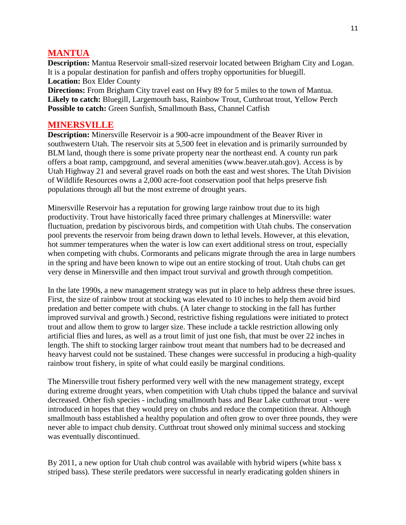## **MANTUA**

**Description:** Mantua Reservoir small-sized reservoir located between Brigham City and Logan. It is a popular destination for panfish and offers trophy opportunities for bluegill. **Location:** Box Elder County

**Directions:** From Brigham City travel east on Hwy 89 for 5 miles to the town of Mantua. **Likely to catch:** Bluegill, Largemouth bass, Rainbow Trout, Cutthroat trout, Yellow Perch **Possible to catch:** Green Sunfish, Smallmouth Bass, Channel Catfish

### **MINERSVILLE**

**Description:** Minersville Reservoir is a 900-acre impoundment of the Beaver River in southwestern Utah. The reservoir sits at 5,500 feet in elevation and is primarily surrounded by BLM land, though there is some private property near the northeast end. A county run park offers a boat ramp, campground, and several amenities (www.beaver.utah.gov). Access is by Utah Highway 21 and several gravel roads on both the east and west shores. The Utah Division of Wildlife Resources owns a 2,000 acre-foot conservation pool that helps preserve fish populations through all but the most extreme of drought years.

Minersville Reservoir has a reputation for growing large rainbow trout due to its high productivity. Trout have historically faced three primary challenges at Minersville: water fluctuation, predation by piscivorous birds, and competition with Utah chubs. The conservation pool prevents the reservoir from being drawn down to lethal levels. However, at this elevation, hot summer temperatures when the water is low can exert additional stress on trout, especially when competing with chubs. Cormorants and pelicans migrate through the area in large numbers in the spring and have been known to wipe out an entire stocking of trout. Utah chubs can get very dense in Minersville and then impact trout survival and growth through competition.

In the late 1990s, a new management strategy was put in place to help address these three issues. First, the size of rainbow trout at stocking was elevated to 10 inches to help them avoid bird predation and better compete with chubs. (A later change to stocking in the fall has further improved survival and growth.) Second, restrictive fishing regulations were initiated to protect trout and allow them to grow to larger size. These include a tackle restriction allowing only artificial flies and lures, as well as a trout limit of just one fish, that must be over 22 inches in length. The shift to stocking larger rainbow trout meant that numbers had to be decreased and heavy harvest could not be sustained. These changes were successful in producing a high-quality rainbow trout fishery, in spite of what could easily be marginal conditions.

The Minersville trout fishery performed very well with the new management strategy, except during extreme drought years, when competition with Utah chubs tipped the balance and survival decreased. Other fish species - including smallmouth bass and Bear Lake cutthroat trout - were introduced in hopes that they would prey on chubs and reduce the competition threat. Although smallmouth bass established a healthy population and often grow to over three pounds, they were never able to impact chub density. Cutthroat trout showed only minimal success and stocking was eventually discontinued.

By 2011, a new option for Utah chub control was available with hybrid wipers (white bass x striped bass). These sterile predators were successful in nearly eradicating golden shiners in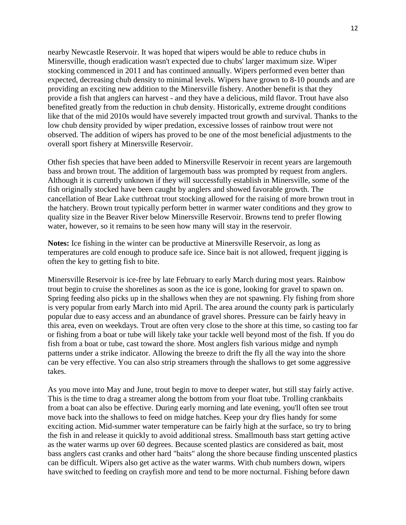nearby Newcastle Reservoir. It was hoped that wipers would be able to reduce chubs in Minersville, though eradication wasn't expected due to chubs' larger maximum size. Wiper stocking commenced in 2011 and has continued annually. Wipers performed even better than expected, decreasing chub density to minimal levels. Wipers have grown to 8-10 pounds and are providing an exciting new addition to the Minersville fishery. Another benefit is that they provide a fish that anglers can harvest - and they have a delicious, mild flavor. Trout have also benefited greatly from the reduction in chub density. Historically, extreme drought conditions like that of the mid 2010s would have severely impacted trout growth and survival. Thanks to the low chub density provided by wiper predation, excessive losses of rainbow trout were not observed. The addition of wipers has proved to be one of the most beneficial adjustments to the overall sport fishery at Minersville Reservoir.

Other fish species that have been added to Minersville Reservoir in recent years are largemouth bass and brown trout. The addition of largemouth bass was prompted by request from anglers. Although it is currently unknown if they will successfully establish in Minersville, some of the fish originally stocked have been caught by anglers and showed favorable growth. The cancellation of Bear Lake cutthroat trout stocking allowed for the raising of more brown trout in the hatchery. Brown trout typically perform better in warmer water conditions and they grow to quality size in the Beaver River below Minersville Reservoir. Browns tend to prefer flowing water, however, so it remains to be seen how many will stay in the reservoir.

**Notes:** Ice fishing in the winter can be productive at Minersville Reservoir, as long as temperatures are cold enough to produce safe ice. Since bait is not allowed, frequent jigging is often the key to getting fish to bite.

Minersville Reservoir is ice-free by late February to early March during most years. Rainbow trout begin to cruise the shorelines as soon as the ice is gone, looking for gravel to spawn on. Spring feeding also picks up in the shallows when they are not spawning. Fly fishing from shore is very popular from early March into mid April. The area around the county park is particularly popular due to easy access and an abundance of gravel shores. Pressure can be fairly heavy in this area, even on weekdays. Trout are often very close to the shore at this time, so casting too far or fishing from a boat or tube will likely take your tackle well beyond most of the fish. If you do fish from a boat or tube, cast toward the shore. Most anglers fish various midge and nymph patterns under a strike indicator. Allowing the breeze to drift the fly all the way into the shore can be very effective. You can also strip streamers through the shallows to get some aggressive takes.

As you move into May and June, trout begin to move to deeper water, but still stay fairly active. This is the time to drag a streamer along the bottom from your float tube. Trolling crankbaits from a boat can also be effective. During early morning and late evening, you'll often see trout move back into the shallows to feed on midge hatches. Keep your dry flies handy for some exciting action. Mid-summer water temperature can be fairly high at the surface, so try to bring the fish in and release it quickly to avoid additional stress. Smallmouth bass start getting active as the water warms up over 60 degrees. Because scented plastics are considered as bait, most bass anglers cast cranks and other hard "baits" along the shore because finding unscented plastics can be difficult. Wipers also get active as the water warms. With chub numbers down, wipers have switched to feeding on crayfish more and tend to be more nocturnal. Fishing before dawn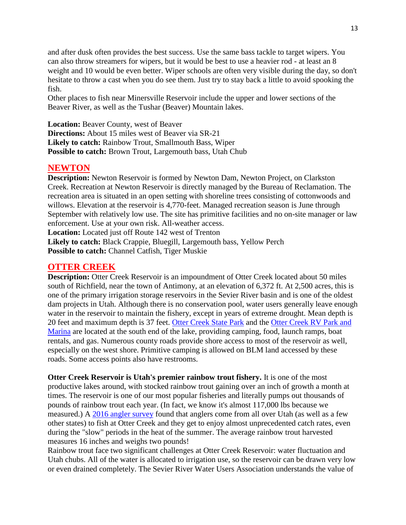and after dusk often provides the best success. Use the same bass tackle to target wipers. You can also throw streamers for wipers, but it would be best to use a heavier rod - at least an 8 weight and 10 would be even better. Wiper schools are often very visible during the day, so don't hesitate to throw a cast when you do see them. Just try to stay back a little to avoid spooking the fish.

Other places to fish near Minersville Reservoir include the upper and lower sections of the Beaver River, as well as the Tushar (Beaver) Mountain lakes.

**Location:** Beaver County, west of Beaver **Directions:** About 15 miles west of Beaver via SR-21 **Likely to catch:** Rainbow Trout, Smallmouth Bass, Wiper **Possible to catch:** Brown Trout, Largemouth bass, Utah Chub

#### **NEWTON**

**Description:** Newton Reservoir is formed by Newton Dam, Newton Project, on Clarkston Creek. Recreation at Newton Reservoir is directly managed by the Bureau of Reclamation. The recreation area is situated in an open setting with shoreline trees consisting of cottonwoods and willows. Elevation at the reservoir is 4,770-feet. Managed recreation season is June through September with relatively low use. The site has primitive facilities and no on-site manager or law enforcement. Use at your own risk. All-weather access.

**Location:** Located just off Route 142 west of Trenton

**Likely to catch:** Black Crappie, Bluegill, Largemouth bass, Yellow Perch Possible to catch: Channel Catfish, Tiger Muskie

#### **OTTER CREEK**

**Description:** Otter Creek Reservoir is an impoundment of Otter Creek located about 50 miles south of Richfield, near the town of Antimony, at an elevation of 6,372 ft. At 2,500 acres, this is one of the primary irrigation storage reservoirs in the Sevier River basin and is one of the oldest dam projects in Utah. Although there is no conservation pool, water users generally leave enough water in the reservoir to maintain the fishery, except in years of extreme drought. Mean depth is 20 feet and maximum depth is 37 feet. [Otter Creek State Park](https://stateparks.utah.gov/parks/otter-creek/) and the [Otter Creek RV Park and](https://www.facebook.com/ottercreekrv/)  [Marina](https://www.facebook.com/ottercreekrv/) are located at the south end of the lake, providing camping, food, launch ramps, boat rentals, and gas. Numerous county roads provide shore access to most of the reservoir as well, especially on the west shore. Primitive camping is allowed on BLM land accessed by these roads. Some access points also have restrooms.

**Otter Creek Reservoir is Utah's premier rainbow trout fishery.** It is one of the most productive lakes around, with stocked rainbow trout gaining over an inch of growth a month at times. The reservoir is one of our most popular fisheries and literally pumps out thousands of pounds of rainbow trout each year. (In fact, we know it's almost 117,000 lbs because we measured.) A [2016 angler survey](https://digitallibrary.utah.gov/awweb/pdfopener?sid=5C14844201036F98492EB153BB286B3D&did=86372&fl=%2Fpublications%2Fpdf%2Fdc058599.pdf#toolbar=0) found that anglers come from all over Utah (as well as a few other states) to fish at Otter Creek and they get to enjoy almost unprecedented catch rates, even during the "slow" periods in the heat of the summer. The average rainbow trout harvested measures 16 inches and weighs two pounds!

Rainbow trout face two significant challenges at Otter Creek Reservoir: water fluctuation and Utah chubs. All of the water is allocated to irrigation use, so the reservoir can be drawn very low or even drained completely. The Sevier River Water Users Association understands the value of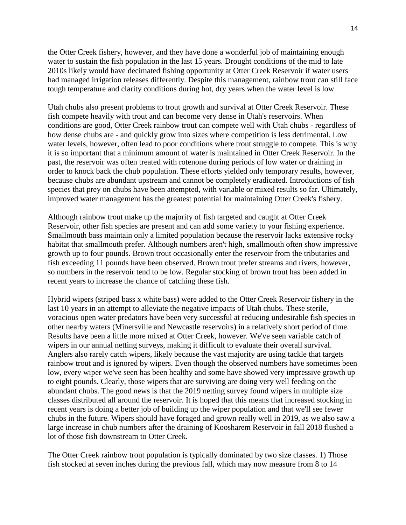the Otter Creek fishery, however, and they have done a wonderful job of maintaining enough water to sustain the fish population in the last 15 years. Drought conditions of the mid to late 2010s likely would have decimated fishing opportunity at Otter Creek Reservoir if water users had managed irrigation releases differently. Despite this management, rainbow trout can still face tough temperature and clarity conditions during hot, dry years when the water level is low.

Utah chubs also present problems to trout growth and survival at Otter Creek Reservoir. These fish compete heavily with trout and can become very dense in Utah's reservoirs. When conditions are good, Otter Creek rainbow trout can compete well with Utah chubs - regardless of how dense chubs are - and quickly grow into sizes where competition is less detrimental. Low water levels, however, often lead to poor conditions where trout struggle to compete. This is why it is so important that a minimum amount of water is maintained in Otter Creek Reservoir. In the past, the reservoir was often treated with rotenone during periods of low water or draining in order to knock back the chub population. These efforts yielded only temporary results, however, because chubs are abundant upstream and cannot be completely eradicated. Introductions of fish species that prey on chubs have been attempted, with variable or mixed results so far. Ultimately, improved water management has the greatest potential for maintaining Otter Creek's fishery.

Although rainbow trout make up the majority of fish targeted and caught at Otter Creek Reservoir, other fish species are present and can add some variety to your fishing experience. Smallmouth bass maintain only a limited population because the reservoir lacks extensive rocky habitat that smallmouth prefer. Although numbers aren't high, smallmouth often show impressive growth up to four pounds. Brown trout occasionally enter the reservoir from the tributaries and fish exceeding 11 pounds have been observed. Brown trout prefer streams and rivers, however, so numbers in the reservoir tend to be low. Regular stocking of brown trout has been added in recent years to increase the chance of catching these fish.

Hybrid wipers (striped bass x white bass) were added to the Otter Creek Reservoir fishery in the last 10 years in an attempt to alleviate the negative impacts of Utah chubs. These sterile, voracious open water predators have been very successful at reducing undesirable fish species in other nearby waters (Minersville and Newcastle reservoirs) in a relatively short period of time. Results have been a little more mixed at Otter Creek, however. We've seen variable catch of wipers in our annual netting surveys, making it difficult to evaluate their overall survival. Anglers also rarely catch wipers, likely because the vast majority are using tackle that targets rainbow trout and is ignored by wipers. Even though the observed numbers have sometimes been low, every wiper we've seen has been healthy and some have showed very impressive growth up to eight pounds. Clearly, those wipers that are surviving are doing very well feeding on the abundant chubs. The good news is that the 2019 netting survey found wipers in multiple size classes distributed all around the reservoir. It is hoped that this means that increased stocking in recent years is doing a better job of building up the wiper population and that we'll see fewer chubs in the future. Wipers should have foraged and grown really well in 2019, as we also saw a large increase in chub numbers after the draining of Koosharem Reservoir in fall 2018 flushed a lot of those fish downstream to Otter Creek.

The Otter Creek rainbow trout population is typically dominated by two size classes. 1) Those fish stocked at seven inches during the previous fall, which may now measure from 8 to 14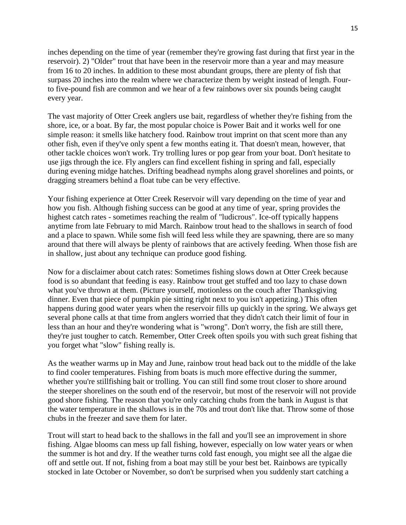inches depending on the time of year (remember they're growing fast during that first year in the reservoir). 2) "Older" trout that have been in the reservoir more than a year and may measure from 16 to 20 inches. In addition to these most abundant groups, there are plenty of fish that surpass 20 inches into the realm where we characterize them by weight instead of length. Fourto five-pound fish are common and we hear of a few rainbows over six pounds being caught every year.

The vast majority of Otter Creek anglers use bait, regardless of whether they're fishing from the shore, ice, or a boat. By far, the most popular choice is Power Bait and it works well for one simple reason: it smells like hatchery food. Rainbow trout imprint on that scent more than any other fish, even if they've only spent a few months eating it. That doesn't mean, however, that other tackle choices won't work. Try trolling lures or pop gear from your boat. Don't hesitate to use jigs through the ice. Fly anglers can find excellent fishing in spring and fall, especially during evening midge hatches. Drifting beadhead nymphs along gravel shorelines and points, or dragging streamers behind a float tube can be very effective.

Your fishing experience at Otter Creek Reservoir will vary depending on the time of year and how you fish. Although fishing success can be good at any time of year, spring provides the highest catch rates - sometimes reaching the realm of "ludicrous". Ice-off typically happens anytime from late February to mid March. Rainbow trout head to the shallows in search of food and a place to spawn. While some fish will feed less while they are spawning, there are so many around that there will always be plenty of rainbows that are actively feeding. When those fish are in shallow, just about any technique can produce good fishing.

Now for a disclaimer about catch rates: Sometimes fishing slows down at Otter Creek because food is so abundant that feeding is easy. Rainbow trout get stuffed and too lazy to chase down what you've thrown at them. (Picture yourself, motionless on the couch after Thanksgiving dinner. Even that piece of pumpkin pie sitting right next to you isn't appetizing.) This often happens during good water years when the reservoir fills up quickly in the spring. We always get several phone calls at that time from anglers worried that they didn't catch their limit of four in less than an hour and they're wondering what is "wrong". Don't worry, the fish are still there, they're just tougher to catch. Remember, Otter Creek often spoils you with such great fishing that you forget what "slow" fishing really is.

As the weather warms up in May and June, rainbow trout head back out to the middle of the lake to find cooler temperatures. Fishing from boats is much more effective during the summer, whether you're stillfishing bait or trolling. You can still find some trout closer to shore around the steeper shorelines on the south end of the reservoir, but most of the reservoir will not provide good shore fishing. The reason that you're only catching chubs from the bank in August is that the water temperature in the shallows is in the 70s and trout don't like that. Throw some of those chubs in the freezer and save them for later.

Trout will start to head back to the shallows in the fall and you'll see an improvement in shore fishing. Algae blooms can mess up fall fishing, however, especially on low water years or when the summer is hot and dry. If the weather turns cold fast enough, you might see all the algae die off and settle out. If not, fishing from a boat may still be your best bet. Rainbows are typically stocked in late October or November, so don't be surprised when you suddenly start catching a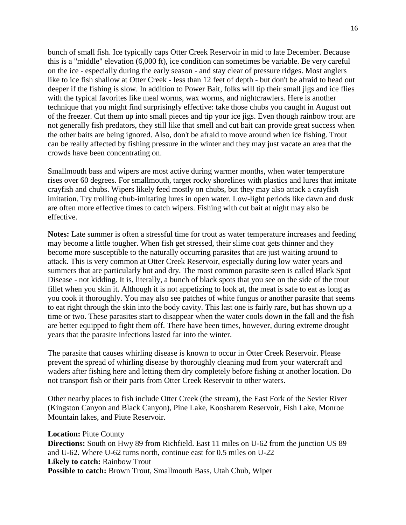bunch of small fish. Ice typically caps Otter Creek Reservoir in mid to late December. Because this is a "middle" elevation (6,000 ft), ice condition can sometimes be variable. Be very careful on the ice - especially during the early season - and stay clear of pressure ridges. Most anglers like to ice fish shallow at Otter Creek - less than 12 feet of depth - but don't be afraid to head out deeper if the fishing is slow. In addition to Power Bait, folks will tip their small jigs and ice flies with the typical favorites like meal worms, wax worms, and nightcrawlers. Here is another technique that you might find surprisingly effective: take those chubs you caught in August out of the freezer. Cut them up into small pieces and tip your ice jigs. Even though rainbow trout are not generally fish predators, they still like that smell and cut bait can provide great success when the other baits are being ignored. Also, don't be afraid to move around when ice fishing. Trout can be really affected by fishing pressure in the winter and they may just vacate an area that the crowds have been concentrating on.

Smallmouth bass and wipers are most active during warmer months, when water temperature rises over 60 degrees. For smallmouth, target rocky shorelines with plastics and lures that imitate crayfish and chubs. Wipers likely feed mostly on chubs, but they may also attack a crayfish imitation. Try trolling chub-imitating lures in open water. Low-light periods like dawn and dusk are often more effective times to catch wipers. Fishing with cut bait at night may also be effective.

**Notes:** Late summer is often a stressful time for trout as water temperature increases and feeding may become a little tougher. When fish get stressed, their slime coat gets thinner and they become more susceptible to the naturally occurring parasites that are just waiting around to attack. This is very common at Otter Creek Reservoir, especially during low water years and summers that are particularly hot and dry. The most common parasite seen is called Black Spot Disease - not kidding. It is, literally, a bunch of black spots that you see on the side of the trout fillet when you skin it. Although it is not appetizing to look at, the meat is safe to eat as long as you cook it thoroughly. You may also see patches of white fungus or another parasite that seems to eat right through the skin into the body cavity. This last one is fairly rare, but has shown up a time or two. These parasites start to disappear when the water cools down in the fall and the fish are better equipped to fight them off. There have been times, however, during extreme drought years that the parasite infections lasted far into the winter.

The parasite that causes whirling disease is known to occur in Otter Creek Reservoir. Please prevent the spread of whirling disease by thoroughly cleaning mud from your watercraft and waders after fishing here and letting them dry completely before fishing at another location. Do not transport fish or their parts from Otter Creek Reservoir to other waters.

Other nearby places to fish include Otter Creek (the stream), the East Fork of the Sevier River (Kingston Canyon and Black Canyon), Pine Lake, Koosharem Reservoir, Fish Lake, Monroe Mountain lakes, and Piute Reservoir.

**Location:** Piute County **Directions:** South on Hwy 89 from Richfield. East 11 miles on U-62 from the junction US 89 and U-62. Where U-62 turns north, continue east for 0.5 miles on U-22 **Likely to catch:** Rainbow Trout **Possible to catch:** Brown Trout, Smallmouth Bass, Utah Chub, Wiper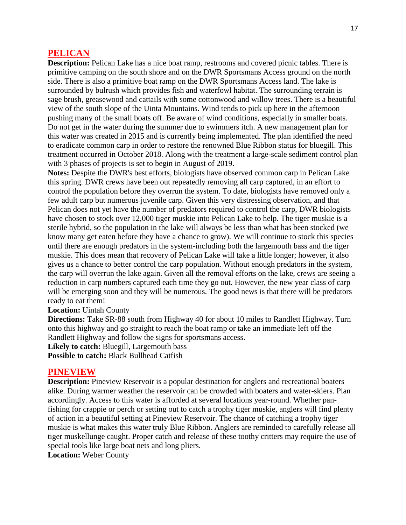#### **PELICAN**

**Description:** Pelican Lake has a nice boat ramp, restrooms and covered picnic tables. There is primitive camping on the south shore and on the DWR Sportsmans Access ground on the north side. There is also a primitive boat ramp on the DWR Sportsmans Access land. The lake is surrounded by bulrush which provides fish and waterfowl habitat. The surrounding terrain is sage brush, greasewood and cattails with some cottonwood and willow trees. There is a beautiful view of the south slope of the Uinta Mountains. Wind tends to pick up here in the afternoon pushing many of the small boats off. Be aware of wind conditions, especially in smaller boats. Do not get in the water during the summer due to swimmers itch. A new management plan for this water was created in 2015 and is currently being implemented. The plan identified the need to eradicate common carp in order to restore the renowned Blue Ribbon status for bluegill. This treatment occurred in October 2018. Along with the treatment a large-scale sediment control plan with 3 phases of projects is set to begin in August of 2019.

**Notes:** Despite the DWR's best efforts, biologists have observed common carp in Pelican Lake this spring. DWR crews have been out repeatedly removing all carp captured, in an effort to control the population before they overrun the system. To date, biologists have removed only a few adult carp but numerous juvenile carp. Given this very distressing observation, and that Pelican does not yet have the number of predators required to control the carp, DWR biologists have chosen to stock over 12,000 tiger muskie into Pelican Lake to help. The tiger muskie is a sterile hybrid, so the population in the lake will always be less than what has been stocked (we know many get eaten before they have a chance to grow). We will continue to stock this species until there are enough predators in the system-including both the largemouth bass and the tiger muskie. This does mean that recovery of Pelican Lake will take a little longer; however, it also gives us a chance to better control the carp population. Without enough predators in the system, the carp will overrun the lake again. Given all the removal efforts on the lake, crews are seeing a reduction in carp numbers captured each time they go out. However, the new year class of carp will be emerging soon and they will be numerous. The good news is that there will be predators ready to eat them!

**Location:** Uintah County

**Directions:** Take SR-88 south from Highway 40 for about 10 miles to Randlett Highway. Turn onto this highway and go straight to reach the boat ramp or take an immediate left off the Randlett Highway and follow the signs for sportsmans access.

**Likely to catch:** Bluegill, Largemouth bass

**Possible to catch:** Black Bullhead Catfish

#### **PINEVIEW**

**Description:** Pineview Reservoir is a popular destination for anglers and recreational boaters alike. During warmer weather the reservoir can be crowded with boaters and water-skiers. Plan accordingly. Access to this water is afforded at several locations year-round. Whether panfishing for crappie or perch or setting out to catch a trophy tiger muskie, anglers will find plenty of action in a beautiful setting at Pineview Reservoir. The chance of catching a trophy tiger muskie is what makes this water truly Blue Ribbon. Anglers are reminded to carefully release all tiger muskellunge caught. Proper catch and release of these toothy critters may require the use of special tools like large boat nets and long pliers.

**Location:** Weber County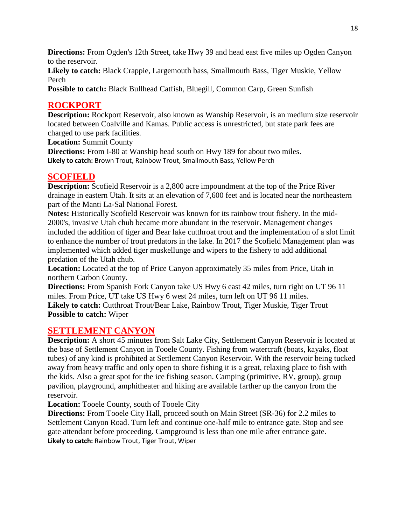**Directions:** From Ogden's 12th Street, take Hwy 39 and head east five miles up Ogden Canyon to the reservoir.

**Likely to catch:** Black Crappie, Largemouth bass, Smallmouth Bass, Tiger Muskie, Yellow Perch

**Possible to catch:** Black Bullhead Catfish, Bluegill, Common Carp, Green Sunfish

# **ROCKPORT**

**Description:** Rockport Reservoir, also known as Wanship Reservoir, is an medium size reservoir located between Coalville and Kamas. Public access is unrestricted, but state park fees are charged to use park facilities.

**Location:** Summit County

**Directions:** From I-80 at Wanship head south on Hwy 189 for about two miles. **Likely to catch:** Brown Trout, Rainbow Trout, Smallmouth Bass, Yellow Perch

# **SCOFIELD**

**Description:** Scofield Reservoir is a 2,800 acre impoundment at the top of the Price River drainage in eastern Utah. It sits at an elevation of 7,600 feet and is located near the northeastern part of the Manti La-Sal National Forest.

**Notes:** Historically Scofield Reservoir was known for its rainbow trout fishery. In the mid-2000's, invasive Utah chub became more abundant in the reservoir. Management changes included the addition of tiger and Bear lake cutthroat trout and the implementation of a slot limit to enhance the number of trout predators in the lake. In 2017 the Scofield Management plan was implemented which added tiger muskellunge and wipers to the fishery to add additional predation of the Utah chub.

**Location:** Located at the top of Price Canyon approximately 35 miles from Price, Utah in northern Carbon County.

**Directions:** From Spanish Fork Canyon take US Hwy 6 east 42 miles, turn right on UT 96 11 miles. From Price, UT take US Hwy 6 west 24 miles, turn left on UT 96 11 miles. Likely to catch: Cutthroat Trout/Bear Lake, Rainbow Trout, Tiger Muskie, Tiger Trout **Possible to catch:** Wiper

# **SETTLEMENT CANYON**

**Description:** A short 45 minutes from Salt Lake City, Settlement Canyon Reservoir is located at the base of Settlement Canyon in Tooele County. Fishing from watercraft (boats, kayaks, float tubes) of any kind is prohibited at Settlement Canyon Reservoir. With the reservoir being tucked away from heavy traffic and only open to shore fishing it is a great, relaxing place to fish with the kids. Also a great spot for the ice fishing season. Camping (primitive, RV, group), group pavilion, playground, amphitheater and hiking are available farther up the canyon from the reservoir.

**Location:** Tooele County, south of Tooele City

**Directions:** From Tooele City Hall, proceed south on Main Street (SR-36) for 2.2 miles to Settlement Canyon Road. Turn left and continue one-half mile to entrance gate. Stop and see gate attendant before proceeding. Campground is less than one mile after entrance gate. **Likely to catch:** Rainbow Trout, Tiger Trout, Wiper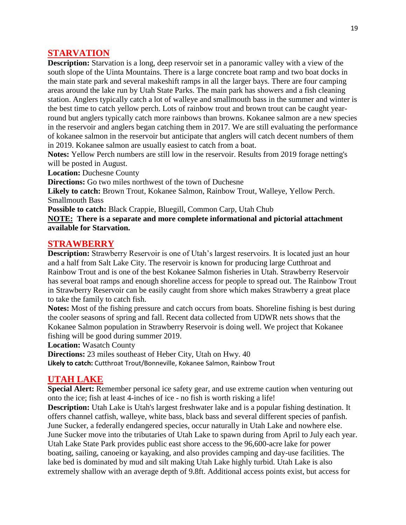### **STARVATION**

**Description:** Starvation is a long, deep reservoir set in a panoramic valley with a view of the south slope of the Uinta Mountains. There is a large concrete boat ramp and two boat docks in the main state park and several makeshift ramps in all the larger bays. There are four camping areas around the lake run by Utah State Parks. The main park has showers and a fish cleaning station. Anglers typically catch a lot of walleye and smallmouth bass in the summer and winter is the best time to catch yellow perch. Lots of rainbow trout and brown trout can be caught yearround but anglers typically catch more rainbows than browns. Kokanee salmon are a new species in the reservoir and anglers began catching them in 2017. We are still evaluating the performance of kokanee salmon in the reservoir but anticipate that anglers will catch decent numbers of them in 2019. Kokanee salmon are usually easiest to catch from a boat.

**Notes:** Yellow Perch numbers are still low in the reservoir. Results from 2019 forage netting's will be posted in August.

**Location:** Duchesne County

**Directions:** Go two miles northwest of the town of Duchesne

**Likely to catch:** Brown Trout, Kokanee Salmon, Rainbow Trout, Walleye, Yellow Perch. Smallmouth Bass

**Possible to catch:** Black Crappie, Bluegill, Common Carp, Utah Chub

**NOTE: There is a separate and more complete informational and pictorial attachment available for Starvation.**

#### **STRAWBERRY**

**Description:** Strawberry Reservoir is one of Utah's largest reservoirs. It is located just an hour and a half from Salt Lake City. The reservoir is known for producing large Cutthroat and Rainbow Trout and is one of the best Kokanee Salmon fisheries in Utah. Strawberry Reservoir has several boat ramps and enough shoreline access for people to spread out. The Rainbow Trout in Strawberry Reservoir can be easily caught from shore which makes Strawberry a great place to take the family to catch fish.

**Notes:** Most of the fishing pressure and catch occurs from boats. Shoreline fishing is best during the cooler seasons of spring and fall. Recent data collected from UDWR nets shows that the Kokanee Salmon population in Strawberry Reservoir is doing well. We project that Kokanee fishing will be good during summer 2019.

**Location:** Wasatch County

**Directions:** 23 miles southeast of Heber City, Utah on Hwy. 40

**Likely to catch:** Cutthroat Trout/Bonneville, Kokanee Salmon, Rainbow Trout

#### **UTAH LAKE**

**Special Alert:** Remember personal ice safety gear, and use extreme caution when venturing out onto the ice; fish at least 4-inches of ice - no fish is worth risking a life!

**Description:** Utah Lake is Utah's largest freshwater lake and is a popular fishing destination. It offers channel catfish, walleye, white bass, black bass and several different species of panfish. June Sucker, a federally endangered species, occur naturally in Utah Lake and nowhere else. June Sucker move into the tributaries of Utah Lake to spawn during from April to July each year. Utah Lake State Park provides public east shore access to the 96,600-acre lake for power boating, sailing, canoeing or kayaking, and also provides camping and day-use facilities. The lake bed is dominated by mud and silt making Utah Lake highly turbid. Utah Lake is also extremely shallow with an average depth of 9.8ft. Additional access points exist, but access for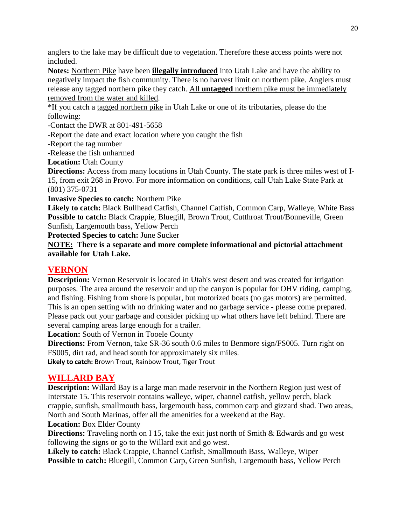anglers to the lake may be difficult due to vegetation. Therefore these access points were not included.

**Notes:** Northern Pike have been **illegally introduced** into Utah Lake and have the ability to negatively impact the fish community. There is no harvest limit on northern pike. Anglers must release any tagged northern pike they catch. All **untagged** northern pike must be immediately removed from the water and killed.

\*If you catch a tagged northern pike in Utah Lake or one of its tributaries, please do the following:

**-**Contact the DWR at 801-491-5658

**-**Report the date and exact location where you caught the fish

**-**Report the tag number

**-**Release the fish unharmed

**Location:** Utah County

**Directions:** Access from many locations in Utah County. The state park is three miles west of I-15, from exit 268 in Provo. For more information on conditions, call Utah Lake State Park at (801) 375-0731

**Invasive Species to catch:** Northern Pike

**Likely to catch:** Black Bullhead Catfish, Channel Catfish, Common Carp, Walleye, White Bass Possible to catch: Black Crappie, Bluegill, Brown Trout, Cutthroat Trout/Bonneville, Green Sunfish, Largemouth bass, Yellow Perch

**Protected Species to catch:** June Sucker

**NOTE: There is a separate and more complete informational and pictorial attachment available for Utah Lake.**

## **VERNON**

**Description:** Vernon Reservoir is located in Utah's west desert and was created for irrigation purposes. The area around the reservoir and up the canyon is popular for OHV riding, camping, and fishing. Fishing from shore is popular, but motorized boats (no gas motors) are permitted. This is an open setting with no drinking water and no garbage service - please come prepared. Please pack out your garbage and consider picking up what others have left behind. There are several camping areas large enough for a trailer.

**Location:** South of Vernon in Tooele County

**Directions:** From Vernon, take SR-36 south 0.6 miles to Benmore sign/FS005. Turn right on FS005, dirt rad, and head south for approximately six miles.

**Likely to catch:** Brown Trout, Rainbow Trout, Tiger Trout

## **WILLARD BAY**

**Description:** Willard Bay is a large man made reservoir in the Northern Region just west of Interstate 15. This reservoir contains walleye, wiper, channel catfish, yellow perch, black crappie, sunfish, smallmouth bass, largemouth bass, common carp and gizzard shad. Two areas, North and South Marinas, offer all the amenities for a weekend at the Bay. **Location:** Box Elder County

**Directions:** Traveling north on I 15, take the exit just north of Smith & Edwards and go west following the signs or go to the Willard exit and go west.

**Likely to catch:** Black Crappie, Channel Catfish, Smallmouth Bass, Walleye, Wiper **Possible to catch:** Bluegill, Common Carp, Green Sunfish, Largemouth bass, Yellow Perch